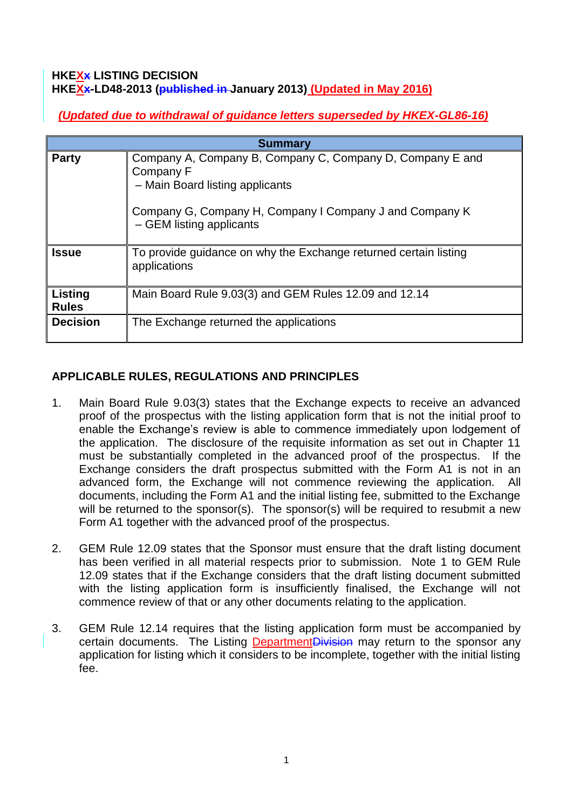## **HKEXx LISTING DECISION HKEXx-LD48-2013 (published in January 2013) (Updated in May 2016)**

*(Updated due to withdrawal of guidance letters superseded by HKEX-GL86-16)*

| <b>Summary</b>          |                                                                                                                                                                                                  |
|-------------------------|--------------------------------------------------------------------------------------------------------------------------------------------------------------------------------------------------|
| <b>Party</b>            | Company A, Company B, Company C, Company D, Company E and<br>Company F<br>- Main Board listing applicants<br>Company G, Company H, Company I Company J and Company K<br>- GEM listing applicants |
| <b>Issue</b>            | To provide guidance on why the Exchange returned certain listing<br>applications                                                                                                                 |
| Listing<br><b>Rules</b> | Main Board Rule 9.03(3) and GEM Rules 12.09 and 12.14                                                                                                                                            |
| <b>Decision</b>         | The Exchange returned the applications                                                                                                                                                           |

# **APPLICABLE RULES, REGULATIONS AND PRINCIPLES**

- 1. Main Board Rule 9.03(3) states that the Exchange expects to receive an advanced proof of the prospectus with the listing application form that is not the initial proof to enable the Exchange's review is able to commence immediately upon lodgement of the application. The disclosure of the requisite information as set out in Chapter 11 must be substantially completed in the advanced proof of the prospectus. If the Exchange considers the draft prospectus submitted with the Form A1 is not in an advanced form, the Exchange will not commence reviewing the application. All documents, including the Form A1 and the initial listing fee, submitted to the Exchange will be returned to the sponsor(s). The sponsor(s) will be required to resubmit a new Form A1 together with the advanced proof of the prospectus.
- 2. GEM Rule 12.09 states that the Sponsor must ensure that the draft listing document has been verified in all material respects prior to submission. Note 1 to GEM Rule 12.09 states that if the Exchange considers that the draft listing document submitted with the listing application form is insufficiently finalised, the Exchange will not commence review of that or any other documents relating to the application.
- 3. GEM Rule 12.14 requires that the listing application form must be accompanied by certain documents. The Listing DepartmentDivision may return to the sponsor any application for listing which it considers to be incomplete, together with the initial listing fee.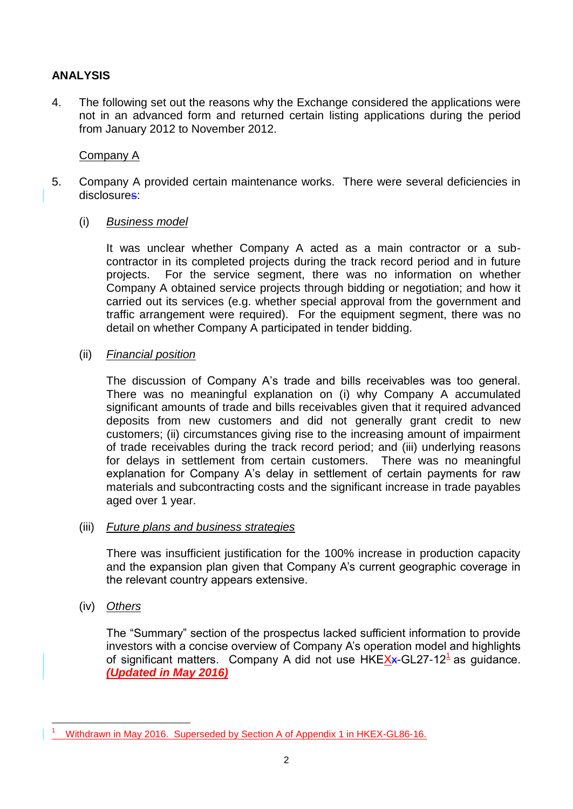## **ANALYSIS**

4. The following set out the reasons why the Exchange considered the applications were not in an advanced form and returned certain listing applications during the period from January 2012 to November 2012.

## Company A

- 5. Company A provided certain maintenance works. There were several deficiencies in disclosures:
	- (i) *Business model*

It was unclear whether Company A acted as a main contractor or a subcontractor in its completed projects during the track record period and in future projects. For the service segment, there was no information on whether Company A obtained service projects through bidding or negotiation; and how it carried out its services (e.g. whether special approval from the government and traffic arrangement were required). For the equipment segment, there was no detail on whether Company A participated in tender bidding.

(ii) *Financial position*

The discussion of Company A's trade and bills receivables was too general. There was no meaningful explanation on (i) why Company A accumulated significant amounts of trade and bills receivables given that it required advanced deposits from new customers and did not generally grant credit to new customers; (ii) circumstances giving rise to the increasing amount of impairment of trade receivables during the track record period; and (iii) underlying reasons for delays in settlement from certain customers. There was no meaningful explanation for Company A's delay in settlement of certain payments for raw materials and subcontracting costs and the significant increase in trade payables aged over 1 year.

### (iii) *Future plans and business strategies*

There was insufficient justification for the 100% increase in production capacity and the expansion plan given that Company A's current geographic coverage in the relevant country appears extensive.

(iv) *Others*

The "Summary" section of the prospectus lacked sufficient information to provide investors with a concise overview of Company A's operation model and highlights of significant matters. Company A did not use HKEXx-GL27-12<sup>1</sup> as guidance. *(Updated in May 2016)*

<sup>1</sup> <sup>1</sup> Withdrawn in May 2016. Superseded by Section A of Appendix 1 in HKEX-GL86-16.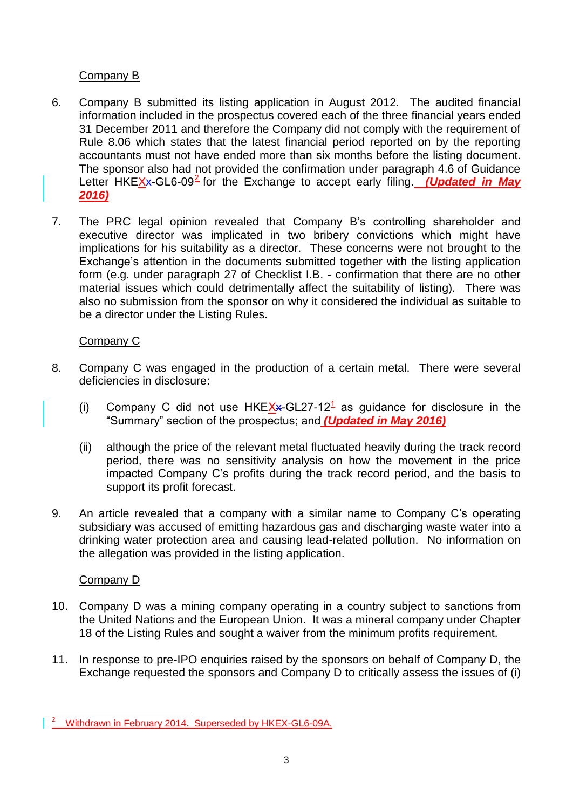## Company B

- 6. Company B submitted its listing application in August 2012. The audited financial information included in the prospectus covered each of the three financial years ended 31 December 2011 and therefore the Company did not comply with the requirement of Rule 8.06 which states that the latest financial period reported on by the reporting accountants must not have ended more than six months before the listing document. The sponsor also had not provided the confirmation under paragraph 4.6 of Guidance Letter HKEX<sub>X</sub>-GL6-09<sup>2</sup> for the Exchange to accept early filing. *(Updated in May 2016)*
- 7. The PRC legal opinion revealed that Company B's controlling shareholder and executive director was implicated in two bribery convictions which might have implications for his suitability as a director. These concerns were not brought to the Exchange's attention in the documents submitted together with the listing application form (e.g. under paragraph 27 of Checklist I.B. - confirmation that there are no other material issues which could detrimentally affect the suitability of listing). There was also no submission from the sponsor on why it considered the individual as suitable to be a director under the Listing Rules.

## Company C

- 8. Company C was engaged in the production of a certain metal. There were several deficiencies in disclosure:
	- (i) Company C did not use  $HKEX + GL27 12<sup>1</sup>$  as guidance for disclosure in the "Summary" section of the prospectus; and *(Updated in May 2016)*
	- (ii) although the price of the relevant metal fluctuated heavily during the track record period, there was no sensitivity analysis on how the movement in the price impacted Company C's profits during the track record period, and the basis to support its profit forecast.
- 9. An article revealed that a company with a similar name to Company C's operating subsidiary was accused of emitting hazardous gas and discharging waste water into a drinking water protection area and causing lead-related pollution. No information on the allegation was provided in the listing application.

# Company D

- 10. Company D was a mining company operating in a country subject to sanctions from the United Nations and the European Union. It was a mineral company under Chapter 18 of the Listing Rules and sought a waiver from the minimum profits requirement.
- 11. In response to pre-IPO enquiries raised by the sponsors on behalf of Company D, the Exchange requested the sponsors and Company D to critically assess the issues of (i)

<sup>1</sup>  $2^2$  Withdrawn in February 2014. Superseded by HKEX-GL6-09A.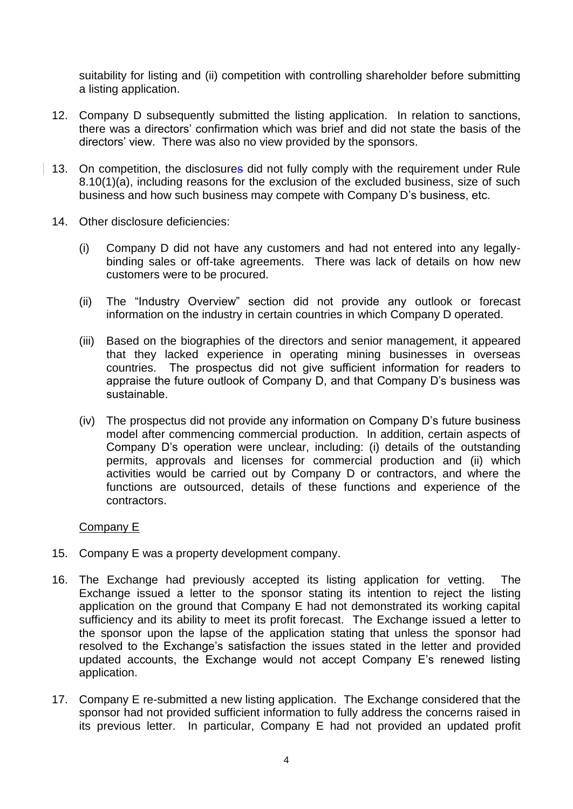suitability for listing and (ii) competition with controlling shareholder before submitting a listing application.

- 12. Company D subsequently submitted the listing application. In relation to sanctions, there was a directors' confirmation which was brief and did not state the basis of the directors' view. There was also no view provided by the sponsors.
- 13. On competition, the disclosures did not fully comply with the requirement under Rule 8.10(1)(a), including reasons for the exclusion of the excluded business, size of such business and how such business may compete with Company D's business, etc.
- 14. Other disclosure deficiencies:
	- (i) Company D did not have any customers and had not entered into any legallybinding sales or off-take agreements. There was lack of details on how new customers were to be procured.
	- (ii) The "Industry Overview" section did not provide any outlook or forecast information on the industry in certain countries in which Company D operated.
	- (iii) Based on the biographies of the directors and senior management, it appeared that they lacked experience in operating mining businesses in overseas countries. The prospectus did not give sufficient information for readers to appraise the future outlook of Company D, and that Company D's business was sustainable.
	- (iv) The prospectus did not provide any information on Company D's future business model after commencing commercial production. In addition, certain aspects of Company D's operation were unclear, including: (i) details of the outstanding permits, approvals and licenses for commercial production and (ii) which activities would be carried out by Company D or contractors, and where the functions are outsourced, details of these functions and experience of the contractors.

### Company E

- 15. Company E was a property development company.
- 16. The Exchange had previously accepted its listing application for vetting. The Exchange issued a letter to the sponsor stating its intention to reject the listing application on the ground that Company E had not demonstrated its working capital sufficiency and its ability to meet its profit forecast. The Exchange issued a letter to the sponsor upon the lapse of the application stating that unless the sponsor had resolved to the Exchange's satisfaction the issues stated in the letter and provided updated accounts, the Exchange would not accept Company E's renewed listing application.
- 17. Company E re-submitted a new listing application. The Exchange considered that the sponsor had not provided sufficient information to fully address the concerns raised in its previous letter. In particular, Company E had not provided an updated profit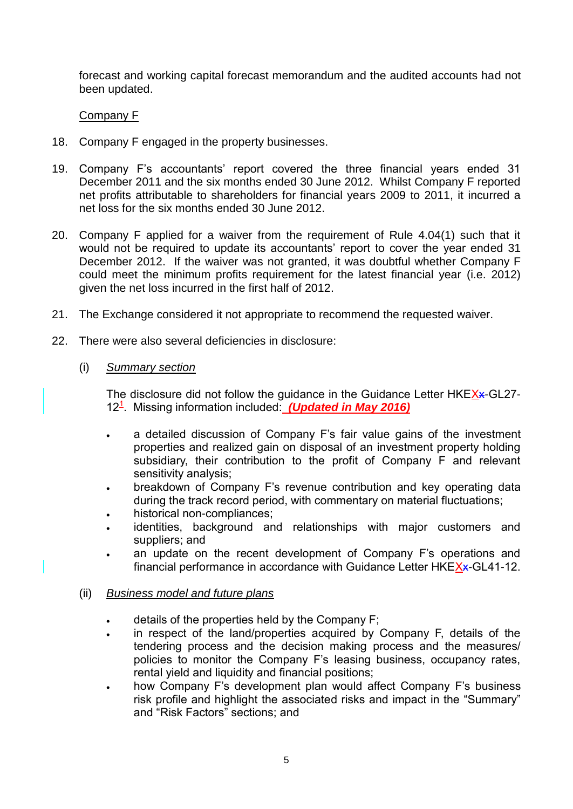forecast and working capital forecast memorandum and the audited accounts had not been updated.

## Company F

- 18. Company F engaged in the property businesses.
- 19. Company F's accountants' report covered the three financial years ended 31 December 2011 and the six months ended 30 June 2012. Whilst Company F reported net profits attributable to shareholders for financial years 2009 to 2011, it incurred a net loss for the six months ended 30 June 2012.
- 20. Company F applied for a waiver from the requirement of Rule 4.04(1) such that it would not be required to update its accountants' report to cover the year ended 31 December 2012. If the waiver was not granted, it was doubtful whether Company F could meet the minimum profits requirement for the latest financial year (i.e. 2012) given the net loss incurred in the first half of 2012.
- 21. The Exchange considered it not appropriate to recommend the requested waiver.
- 22. There were also several deficiencies in disclosure:
	- (i) *Summary section*

The disclosure did not follow the guidance in the Guidance Letter HKEXx-GL27-12<sup>1</sup>. Missing information included: **(Updated in May 2016)** 

- a detailed discussion of Company F's fair value gains of the investment properties and realized gain on disposal of an investment property holding subsidiary, their contribution to the profit of Company F and relevant sensitivity analysis;
- breakdown of Company F's revenue contribution and key operating data during the track record period, with commentary on material fluctuations;
- historical non-compliances;
- identities, background and relationships with major customers and suppliers; and
- an update on the recent development of Company F's operations and financial performance in accordance with Guidance Letter HKEXx-GL41-12.

### (ii) *Business model and future plans*

- details of the properties held by the Company F;
- in respect of the land/properties acquired by Company F, details of the tendering process and the decision making process and the measures/ policies to monitor the Company F's leasing business, occupancy rates, rental yield and liquidity and financial positions;
- how Company F's development plan would affect Company F's business risk profile and highlight the associated risks and impact in the "Summary" and "Risk Factors" sections; and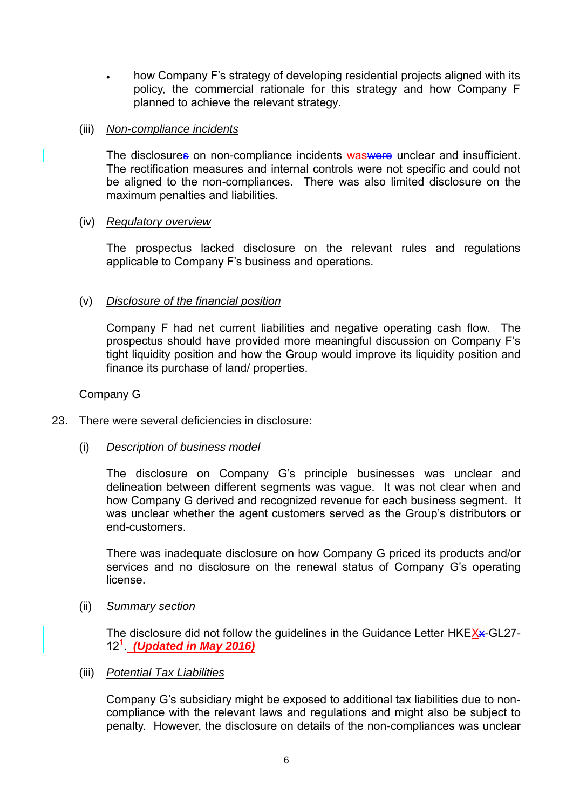how Company F's strategy of developing residential projects aligned with its policy, the commercial rationale for this strategy and how Company F planned to achieve the relevant strategy.

## (iii) *Non-compliance incidents*

The disclosures on non-compliance incidents was were unclear and insufficient. The rectification measures and internal controls were not specific and could not be aligned to the non-compliances. There was also limited disclosure on the maximum penalties and liabilities.

## (iv) *Regulatory overview*

The prospectus lacked disclosure on the relevant rules and regulations applicable to Company F's business and operations.

## (v) *Disclosure of the financial position*

Company F had net current liabilities and negative operating cash flow. The prospectus should have provided more meaningful discussion on Company F's tight liquidity position and how the Group would improve its liquidity position and finance its purchase of land/ properties.

### Company G

23. There were several deficiencies in disclosure:

### (i) *Description of business model*

The disclosure on Company G's principle businesses was unclear and delineation between different segments was vague. It was not clear when and how Company G derived and recognized revenue for each business segment. It was unclear whether the agent customers served as the Group's distributors or end-customers.

There was inadequate disclosure on how Company G priced its products and/or services and no disclosure on the renewal status of Company G's operating license.

### (ii) *Summary section*

The disclosure did not follow the guidelines in the Guidance Letter HKEXx-GL27-12<sup>1</sup> (Updated in May 2016)

### (iii) *Potential Tax Liabilities*

Company G's subsidiary might be exposed to additional tax liabilities due to noncompliance with the relevant laws and regulations and might also be subject to penalty. However, the disclosure on details of the non-compliances was unclear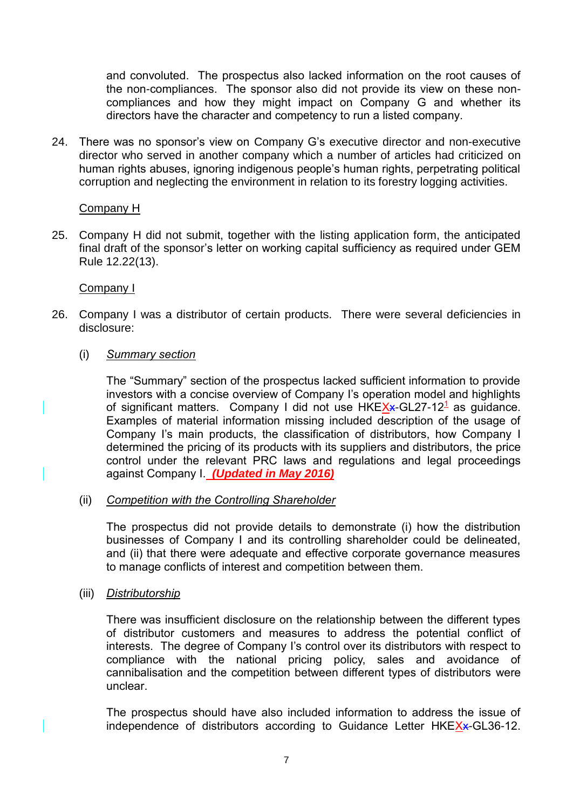and convoluted. The prospectus also lacked information on the root causes of the non-compliances. The sponsor also did not provide its view on these noncompliances and how they might impact on Company G and whether its directors have the character and competency to run a listed company.

24. There was no sponsor's view on Company G's executive director and non-executive director who served in another company which a number of articles had criticized on human rights abuses, ignoring indigenous people's human rights, perpetrating political corruption and neglecting the environment in relation to its forestry logging activities.

### Company H

25. Company H did not submit, together with the listing application form, the anticipated final draft of the sponsor's letter on working capital sufficiency as required under GEM Rule 12.22(13).

### Company I

- 26. Company I was a distributor of certain products. There were several deficiencies in disclosure:
	- (i) *Summary section*

The "Summary" section of the prospectus lacked sufficient information to provide investors with a concise overview of Company I's operation model and highlights of significant matters. Company I did not use HKEXx-GL27-12<sup>1</sup> as guidance. Examples of material information missing included description of the usage of Company I's main products, the classification of distributors, how Company I determined the pricing of its products with its suppliers and distributors, the price control under the relevant PRC laws and regulations and legal proceedings against Company I. *(Updated in May 2016)*

(ii) *Competition with the Controlling Shareholder*

The prospectus did not provide details to demonstrate (i) how the distribution businesses of Company I and its controlling shareholder could be delineated, and (ii) that there were adequate and effective corporate governance measures to manage conflicts of interest and competition between them.

(iii) *Distributorship*

There was insufficient disclosure on the relationship between the different types of distributor customers and measures to address the potential conflict of interests. The degree of Company I's control over its distributors with respect to compliance with the national pricing policy, sales and avoidance of cannibalisation and the competition between different types of distributors were unclear.

The prospectus should have also included information to address the issue of independence of distributors according to Guidance Letter HKEXx-GL36-12.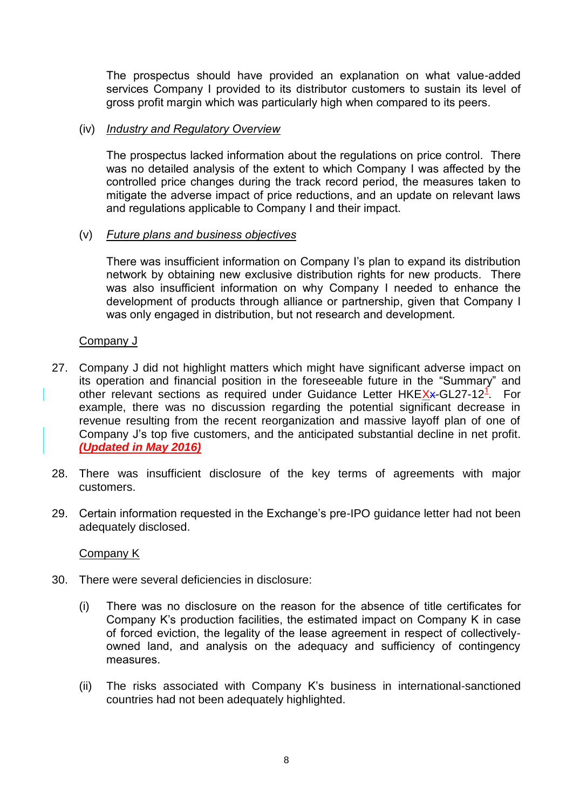The prospectus should have provided an explanation on what value-added services Company I provided to its distributor customers to sustain its level of gross profit margin which was particularly high when compared to its peers.

## (iv) *Industry and Regulatory Overview*

The prospectus lacked information about the regulations on price control. There was no detailed analysis of the extent to which Company I was affected by the controlled price changes during the track record period, the measures taken to mitigate the adverse impact of price reductions, and an update on relevant laws and regulations applicable to Company I and their impact.

### (v) *Future plans and business objectives*

There was insufficient information on Company I's plan to expand its distribution network by obtaining new exclusive distribution rights for new products. There was also insufficient information on why Company I needed to enhance the development of products through alliance or partnership, given that Company I was only engaged in distribution, but not research and development.

## Company J

- 27. Company J did not highlight matters which might have significant adverse impact on its operation and financial position in the foreseeable future in the "Summary" and other relevant sections as required under Guidance Letter HKEXx-GL27-12<sup>1</sup>. For example, there was no discussion regarding the potential significant decrease in revenue resulting from the recent reorganization and massive layoff plan of one of Company J's top five customers, and the anticipated substantial decline in net profit. *(Updated in May 2016)*
- 28. There was insufficient disclosure of the key terms of agreements with major customers.
- 29. Certain information requested in the Exchange's pre-IPO guidance letter had not been adequately disclosed.

### Company K

- 30. There were several deficiencies in disclosure:
	- (i) There was no disclosure on the reason for the absence of title certificates for Company K's production facilities, the estimated impact on Company K in case of forced eviction, the legality of the lease agreement in respect of collectivelyowned land, and analysis on the adequacy and sufficiency of contingency measures.
	- (ii) The risks associated with Company K's business in international-sanctioned countries had not been adequately highlighted.